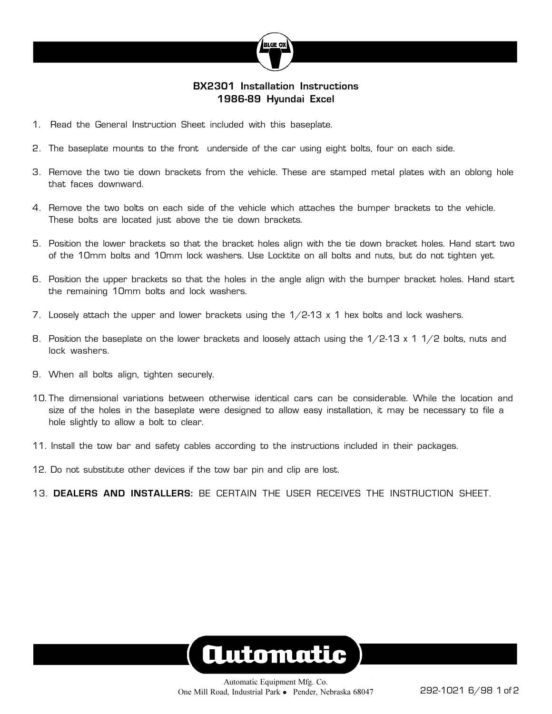

#### **BX2301 Installation Instructions 1986-89 Hyundai Excel**

- 1. Read the General Instruction Sheet included with this baseplate.
- 2. The baseplate mounts to the front underside of the car using eight bolts, four on each side.
- 3. Remove the two tie down brackets from the vehicle. These are stamped metal plates with an oblong hole that faces downward.
- 4. Remove the two bolts on each side of the vehicle which attaches the bumper brackets to the vehicle. These bolts are located just above the tie down brackets.
- 5. Position the lower brackets so that the bracket holes align with the tie down bracket holes. Hand start two of the 10mm bolts and 10mm lock washers. Use Locktite on all bolts and nuts, but do not tighten yet.
- 6. Position the upper brackets so that the holes in the angle align with the bumper bracket holes. Hand start the remaining 10mm bolts and lock washers.
- 7. Loosely attach the upper and lower brackets using the  $1/2-13 \times 1$  hex bolts and lock washers.
- 8. Position the baseplate on the lower brackets and loosely attach using the  $1/2-13 \times 11/2$  bolts, nuts and lock washers.
- 9. When all bolts align, tighten securely.
- 10. The dimensional variations between otherwise identical cars can be considerable. While the location and size of the holes in the baseplate were designed to allow easy installation, it may be necessary to file a hole slightly to allow a bolt to clear.
- 11. Install the tow bar and safety cables according to the instructions included in their packages.
- 12. Do not substitute other devices if the tow bar pin and clip are lost.
- 13. **DEALERS AND INSTALLERS:** BE CERTAIN THE USER RECEIVES THE INSTRUCTION SHEET.

# **Automatic**